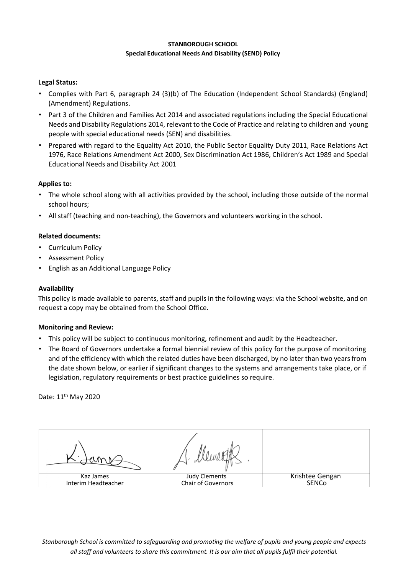#### **STANBOROUGH SCHOOL Special Educational Needs And Disability (SEND) Policy**

## **Legal Status:**

- Complies with Part 6, paragraph 24 (3)(b) of The Education (Independent School Standards) (England) (Amendment) Regulations.
- Part 3 of the Children and Families Act 2014 and associated regulations including the Special Educational Needs and Disability Regulations 2014, relevant to the Code of Practice and relating to children and young people with special educational needs (SEN) and disabilities.
- Prepared with regard to the Equality Act 2010, the Public Sector Equality Duty 2011, Race Relations Act 1976, Race Relations Amendment Act 2000, Sex Discrimination Act 1986, Children's Act 1989 and Special Educational Needs and Disability Act 2001

### **Applies to:**

- The whole school along with all activities provided by the school, including those outside of the normal school hours;
- All staff (teaching and non-teaching), the Governors and volunteers working in the school.

### **Related documents:**

- Curriculum Policy
- Assessment Policy
- English as an Additional Language Policy

### **Availability**

This policy is made available to parents, staff and pupils in the following ways: via the School website, and on request a copy may be obtained from the School Office.

### **Monitoring and Review:**

- This policy will be subject to continuous monitoring, refinement and audit by the Headteacher.
- The Board of Governors undertake a formal biennial review of this policy for the purpose of monitoring and of the efficiency with which the related duties have been discharged, by no later than two years from the date shown below, or earlier if significant changes to the systems and arrangements take place, or if legislation, regulatory requirements or best practice guidelines so require.

Date: 11th May 2020

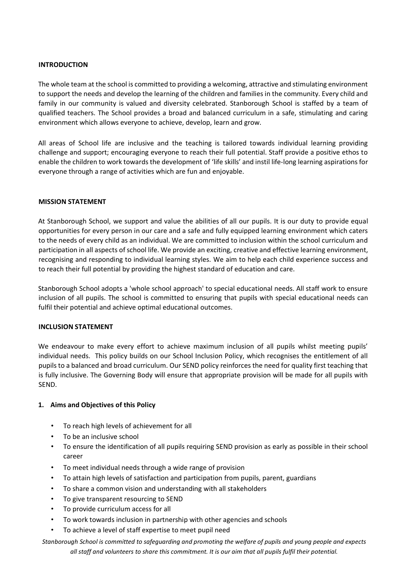### **INTRODUCTION**

The whole team at the school is committed to providing a welcoming, attractive and stimulating environment to support the needs and develop the learning of the children and families in the community. Every child and family in our community is valued and diversity celebrated. Stanborough School is staffed by a team of qualified teachers. The School provides a broad and balanced curriculum in a safe, stimulating and caring environment which allows everyone to achieve, develop, learn and grow.

All areas of School life are inclusive and the teaching is tailored towards individual learning providing challenge and support; encouraging everyone to reach their full potential. Staff provide a positive ethos to enable the children to work towards the development of 'life skills' and instil life‐long learning aspirations for everyone through a range of activities which are fun and enjoyable.

### **MISSION STATEMENT**

At Stanborough School, we support and value the abilities of all our pupils. It is our duty to provide equal opportunities for every person in our care and a safe and fully equipped learning environment which caters to the needs of every child as an individual. We are committed to inclusion within the school curriculum and participation in all aspects of school life. We provide an exciting, creative and effective learning environment, recognising and responding to individual learning styles. We aim to help each child experience success and to reach their full potential by providing the highest standard of education and care.

Stanborough School adopts a 'whole school approach' to special educational needs. All staff work to ensure inclusion of all pupils. The school is committed to ensuring that pupils with special educational needs can fulfil their potential and achieve optimal educational outcomes.

### **INCLUSION STATEMENT**

We endeavour to make every effort to achieve maximum inclusion of all pupils whilst meeting pupils' individual needs. This policy builds on our School Inclusion Policy, which recognises the entitlement of all pupils to a balanced and broad curriculum. Our SEND policy reinforces the need for quality first teaching that is fully inclusive. The Governing Body will ensure that appropriate provision will be made for all pupils with SEND.

# **1. Aims and Objectives of this Policy**

- To reach high levels of achievement for all
- To be an inclusive school
- To ensure the identification of all pupils requiring SEND provision as early as possible in their school career
- To meet individual needs through a wide range of provision
- To attain high levels of satisfaction and participation from pupils, parent, guardians
- To share a common vision and understanding with all stakeholders
- To give transparent resourcing to SEND
- To provide curriculum access for all
- To work towards inclusion in partnership with other agencies and schools
- To achieve a level of staff expertise to meet pupil need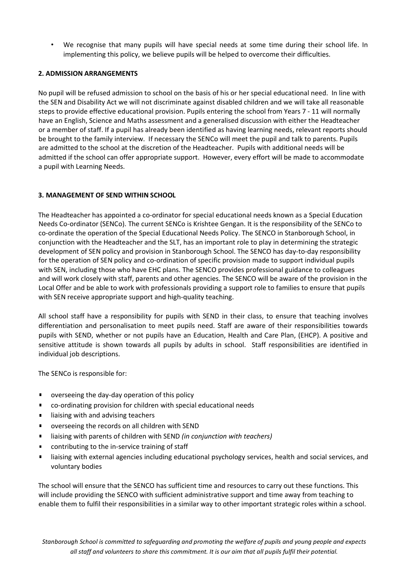• We recognise that many pupils will have special needs at some time during their school life. In implementing this policy, we believe pupils will be helped to overcome their difficulties.

### **2. ADMISSION ARRANGEMENTS**

No pupil will be refused admission to school on the basis of his or her special educational need. In line with the SEN and Disability Act we will not discriminate against disabled children and we will take all reasonable steps to provide effective educational provision. Pupils entering the school from Years 7 ‐ 11 will normally have an English, Science and Maths assessment and a generalised discussion with either the Headteacher or a member of staff. If a pupil has already been identified as having learning needs, relevant reports should be brought to the family interview. If necessary the SENCo will meet the pupil and talk to parents. Pupils are admitted to the school at the discretion of the Headteacher. Pupils with additional needs will be admitted if the school can offer appropriate support. However, every effort will be made to accommodate a pupil with Learning Needs.

# **3. MANAGEMENT OF SEND WITHIN SCHOOL**

The Headteacher has appointed a co-ordinator for special educational needs known as a Special Education Needs Co‐ordinator (SENCo). The current SENCo is Krishtee Gengan. It is the responsibility of the SENCo to co-ordinate the operation of the Special Educational Needs Policy. The SENCO in Stanborough School, in conjunction with the Headteacher and the SLT, has an important role to play in determining the strategic development of SEN policy and provision in Stanborough School. The SENCO has day‐to‐day responsibility for the operation of SEN policy and co-ordination of specific provision made to support individual pupils with SEN, including those who have EHC plans. The SENCO provides professional guidance to colleagues and will work closely with staff, parents and other agencies. The SENCO will be aware of the provision in the Local Offer and be able to work with professionals providing a support role to families to ensure that pupils with SEN receive appropriate support and high-quality teaching.

All school staff have a responsibility for pupils with SEND in their class, to ensure that teaching involves differentiation and personalisation to meet pupils need. Staff are aware of their responsibilities towards pupils with SEND, whether or not pupils have an Education, Health and Care Plan, (EHCP). A positive and sensitive attitude is shown towards all pupils by adults in school. Staff responsibilities are identified in individual job descriptions.

The SENCo is responsible for:

- $\blacksquare$ overseeing the day‐day operation of this policy
- $\blacksquare$ co‐ordinating provision for children with special educational needs
- liaising with and advising teachers
- overseeing the records on all children with SEND  $\blacksquare$
- liaising with parents of children with SEND *(in conjunction with teachers)*
- contributing to the in‐service training of staff
- $\blacksquare$ liaising with external agencies including educational psychology services, health and social services, and voluntary bodies

The school will ensure that the SENCO has sufficient time and resources to carry out these functions. This will include providing the SENCO with sufficient administrative support and time away from teaching to enable them to fulfil their responsibilities in a similar way to other important strategic roles within a school.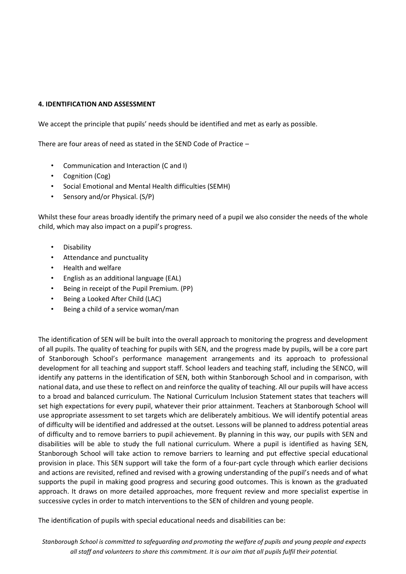### **4. IDENTIFICATION AND ASSESSMENT**

We accept the principle that pupils' needs should be identified and met as early as possible.

There are four areas of need as stated in the SEND Code of Practice –

- Communication and Interaction (C and I)
- Cognition (Cog)
- Social Emotional and Mental Health difficulties (SEMH)
- Sensory and/or Physical. (S/P)

Whilst these four areas broadly identify the primary need of a pupil we also consider the needs of the whole child, which may also impact on a pupil's progress.

- Disability
- Attendance and punctuality
- Health and welfare
- English as an additional language (EAL)
- Being in receipt of the Pupil Premium. (PP)
- Being a Looked After Child (LAC)
- Being a child of a service woman/man

The identification of SEN will be built into the overall approach to monitoring the progress and development of all pupils. The quality of teaching for pupils with SEN, and the progress made by pupils, will be a core part of Stanborough School's performance management arrangements and its approach to professional development for all teaching and support staff. School leaders and teaching staff, including the SENCO, will identify any patterns in the identification of SEN, both within Stanborough School and in comparison, with national data, and use these to reflect on and reinforce the quality of teaching. All our pupils will have access to a broad and balanced curriculum. The National Curriculum Inclusion Statement states that teachers will set high expectations for every pupil, whatever their prior attainment. Teachers at Stanborough School will use appropriate assessment to set targets which are deliberately ambitious. We will identify potential areas of difficulty will be identified and addressed at the outset. Lessons will be planned to address potential areas of difficulty and to remove barriers to pupil achievement. By planning in this way, our pupils with SEN and disabilities will be able to study the full national curriculum. Where a pupil is identified as having SEN, Stanborough School will take action to remove barriers to learning and put effective special educational provision in place. This SEN support will take the form of a four‐part cycle through which earlier decisions and actions are revisited, refined and revised with a growing understanding of the pupil's needs and of what supports the pupil in making good progress and securing good outcomes. This is known as the graduated approach. It draws on more detailed approaches, more frequent review and more specialist expertise in successive cycles in order to match interventions to the SEN of children and young people.

The identification of pupils with special educational needs and disabilities can be: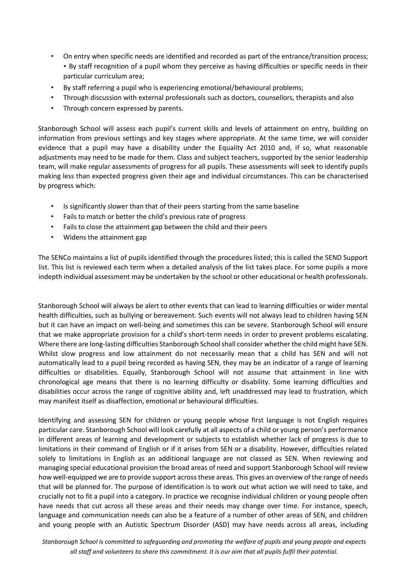- On entry when specific needs are identified and recorded as part of the entrance/transition process; • By staff recognition of a pupil whom they perceive as having difficulties or specific needs in their particular curriculum area;
- By staff referring a pupil who is experiencing emotional/behavioural problems;
- Through discussion with external professionals such as doctors, counsellors, therapists and also
- Through concern expressed by parents.

Stanborough School will assess each pupil's current skills and levels of attainment on entry, building on information from previous settings and key stages where appropriate. At the same time, we will consider evidence that a pupil may have a disability under the Equality Act 2010 and, if so, what reasonable adjustments may need to be made for them. Class and subject teachers, supported by the senior leadership team, will make regular assessments of progress for all pupils. These assessments will seek to identify pupils making less than expected progress given their age and individual circumstances. This can be characterised by progress which:

- Is significantly slower than that of their peers starting from the same baseline
- Fails to match or better the child's previous rate of progress
- Fails to close the attainment gap between the child and their peers
- Widens the attainment gap

The SENCo maintains a list of pupils identified through the procedures listed; this is called the SEND Support list. This list is reviewed each term when a detailed analysis of the list takes place. For some pupils a more indepth individual assessment may be undertaken by the school or other educational or health professionals.

Stanborough School will always be alert to other events that can lead to learning difficulties or wider mental health difficulties, such as bullying or bereavement. Such events will not always lead to children having SEN but it can have an impact on well‐being and sometimes this can be severe. Stanborough School will ensure that we make appropriate provision for a child's short‐term needs in order to prevent problems escalating. Where there are long-lasting difficulties Stanborough School shall consider whether the child might have SEN. Whilst slow progress and low attainment do not necessarily mean that a child has SEN and will not automatically lead to a pupil being recorded as having SEN, they may be an indicator of a range of learning difficulties or disabilities. Equally, Stanborough School will not assume that attainment in line with chronological age means that there is no learning difficulty or disability. Some learning difficulties and disabilities occur across the range of cognitive ability and, left unaddressed may lead to frustration, which may manifest itself as disaffection, emotional or behavioural difficulties.

Identifying and assessing SEN for children or young people whose first language is not English requires particular care. Stanborough School will look carefully at all aspects of a child or young person's performance in different areas of learning and development or subjects to establish whether lack of progress is due to limitations in their command of English or if it arises from SEN or a disability. However, difficulties related solely to limitations in English as an additional language are not classed as SEN. When reviewing and managing special educational provision the broad areas of need and support Stanborough School will review how well-equipped we are to provide support across these areas. This gives an overview of the range of needs that will be planned for. The purpose of identification is to work out what action we will need to take, and crucially not to fit a pupil into a category. In practice we recognise individual children or young people often have needs that cut across all these areas and their needs may change over time. For instance, speech, language and communication needs can also be a feature of a number of other areas of SEN, and children and young people with an Autistic Spectrum Disorder (ASD) may have needs across all areas, including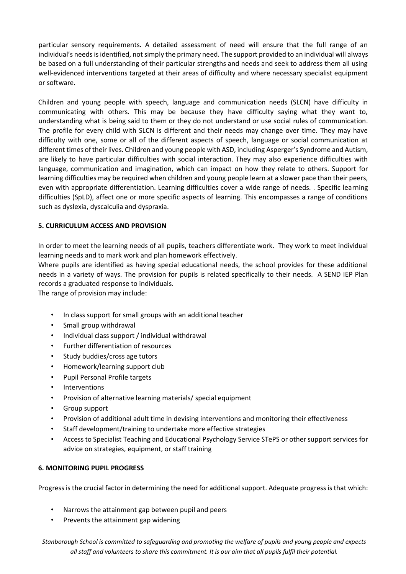particular sensory requirements. A detailed assessment of need will ensure that the full range of an individual's needs is identified, not simply the primary need. The support provided to an individual will always be based on a full understanding of their particular strengths and needs and seek to address them all using well-evidenced interventions targeted at their areas of difficulty and where necessary specialist equipment or software.

Children and young people with speech, language and communication needs (SLCN) have difficulty in communicating with others. This may be because they have difficulty saying what they want to, understanding what is being said to them or they do not understand or use social rules of communication. The profile for every child with SLCN is different and their needs may change over time. They may have difficulty with one, some or all of the different aspects of speech, language or social communication at different times of their lives. Children and young people with ASD, including Asperger's Syndrome and Autism, are likely to have particular difficulties with social interaction. They may also experience difficulties with language, communication and imagination, which can impact on how they relate to others. Support for learning difficulties may be required when children and young people learn at a slower pace than their peers, even with appropriate differentiation. Learning difficulties cover a wide range of needs. . Specific learning difficulties (SpLD), affect one or more specific aspects of learning. This encompasses a range of conditions such as dyslexia, dyscalculia and dyspraxia.

# **5. CURRICULUM ACCESS AND PROVISION**

In order to meet the learning needs of all pupils, teachers differentiate work. They work to meet individual learning needs and to mark work and plan homework effectively.

Where pupils are identified as having special educational needs, the school provides for these additional needs in a variety of ways. The provision for pupils is related specifically to their needs. A SEND IEP Plan records a graduated response to individuals.

The range of provision may include:

- In class support for small groups with an additional teacher
- Small group withdrawal
- Individual class support / individual withdrawal
- Further differentiation of resources
- Study buddies/cross age tutors
- Homework/learning support club
- Pupil Personal Profile targets
- Interventions
- Provision of alternative learning materials/ special equipment
- Group support
- Provision of additional adult time in devising interventions and monitoring their effectiveness
- Staff development/training to undertake more effective strategies
- Access to Specialist Teaching and Educational Psychology Service STePS or other support services for advice on strategies, equipment, or staff training

### **6. MONITORING PUPIL PROGRESS**

Progress is the crucial factor in determining the need for additional support. Adequate progress is that which:

- Narrows the attainment gap between pupil and peers
- Prevents the attainment gap widening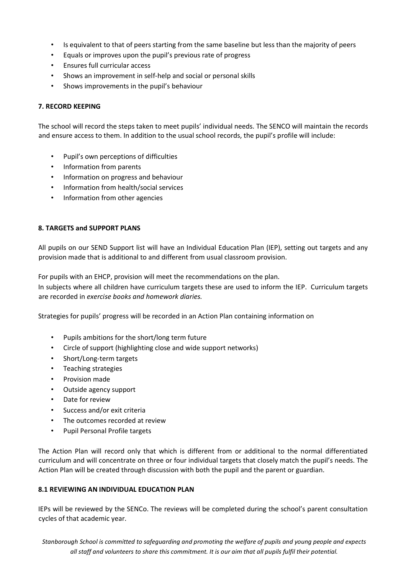- Is equivalent to that of peers starting from the same baseline but less than the majority of peers
- Equals or improves upon the pupil's previous rate of progress
- Ensures full curricular access
- Shows an improvement in self‐help and social or personal skills
- Shows improvements in the pupil's behaviour

## **7. RECORD KEEPING**

The school will record the steps taken to meet pupils' individual needs. The SENCO will maintain the records and ensure access to them. In addition to the usual school records, the pupil's profile will include:

- Pupil's own perceptions of difficulties
- Information from parents
- Information on progress and behaviour
- Information from health/social services
- Information from other agencies

# **8. TARGETS and SUPPORT PLANS**

All pupils on our SEND Support list will have an Individual Education Plan (IEP), setting out targets and any provision made that is additional to and different from usual classroom provision.

For pupils with an EHCP, provision will meet the recommendations on the plan.

In subjects where all children have curriculum targets these are used to inform the IEP. Curriculum targets are recorded in *exercise books and homework diaries.*

Strategies for pupils' progress will be recorded in an Action Plan containing information on

- Pupils ambitions for the short/long term future
- Circle of support (highlighting close and wide support networks)
- Short/Long‐term targets
- Teaching strategies
- Provision made
- Outside agency support
- Date for review
- Success and/or exit criteria
- The outcomes recorded at review
- Pupil Personal Profile targets

The Action Plan will record only that which is different from or additional to the normal differentiated curriculum and will concentrate on three or four individual targets that closely match the pupil's needs. The Action Plan will be created through discussion with both the pupil and the parent or guardian.

## **8.1 REVIEWING AN INDIVIDUAL EDUCATION PLAN**

IEPs will be reviewed by the SENCo. The reviews will be completed during the school's parent consultation cycles of that academic year.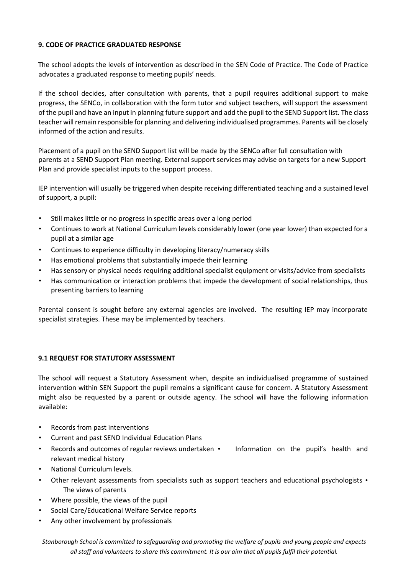## **9. CODE OF PRACTICE GRADUATED RESPONSE**

The school adopts the levels of intervention as described in the SEN Code of Practice. The Code of Practice advocates a graduated response to meeting pupils' needs.

If the school decides, after consultation with parents, that a pupil requires additional support to make progress, the SENCo, in collaboration with the form tutor and subject teachers, will support the assessment of the pupil and have an input in planning future support and add the pupil to the SEND Support list. The class teacher will remain responsible for planning and delivering individualised programmes. Parents will be closely informed of the action and results.

Placement of a pupil on the SEND Support list will be made by the SENCo after full consultation with parents at a SEND Support Plan meeting. External support services may advise on targets for a new Support Plan and provide specialist inputs to the support process.

IEP intervention will usually be triggered when despite receiving differentiated teaching and a sustained level of support, a pupil:

- Still makes little or no progress in specific areas over a long period
- Continues to work at National Curriculum levels considerably lower (one year lower) than expected for a pupil at a similar age
- Continues to experience difficulty in developing literacy/numeracy skills
- Has emotional problems that substantially impede their learning
- Has sensory or physical needs requiring additional specialist equipment or visits/advice from specialists
- Has communication or interaction problems that impede the development of social relationships, thus presenting barriers to learning

Parental consent is sought before any external agencies are involved. The resulting IEP may incorporate specialist strategies. These may be implemented by teachers.

### **9.1 REQUEST FOR STATUTORY ASSESSMENT**

The school will request a Statutory Assessment when, despite an individualised programme of sustained intervention within SEN Support the pupil remains a significant cause for concern. A Statutory Assessment might also be requested by a parent or outside agency. The school will have the following information available:

- Records from past interventions
- Current and past SEND Individual Education Plans
- Records and outcomes of regular reviews undertaken Information on the pupil's health and relevant medical history
- National Curriculum levels.
- Other relevant assessments from specialists such as support teachers and educational psychologists The views of parents
- Where possible, the views of the pupil
- Social Care/Educational Welfare Service reports
- Any other involvement by professionals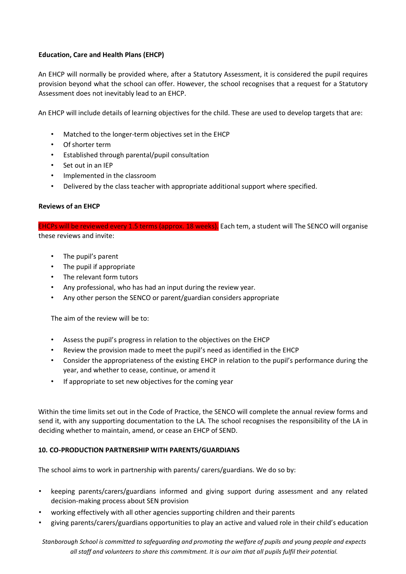# **Education, Care and Health Plans (EHCP)**

An EHCP will normally be provided where, after a Statutory Assessment, it is considered the pupil requires provision beyond what the school can offer. However, the school recognises that a request for a Statutory Assessment does not inevitably lead to an EHCP.

An EHCP will include details of learning objectives for the child. These are used to develop targets that are:

- Matched to the longer-term objectives set in the EHCP
- Of shorter term
- Established through parental/pupil consultation
- Set out in an IEP
- Implemented in the classroom
- Delivered by the class teacher with appropriate additional support where specified.

### **Reviews of an EHCP**

EHCPs will be reviewed every 1.5 terms (approx. 18 weeks). Each tem, a student will The SENCO will organise these reviews and invite:

- The pupil's parent
- The pupil if appropriate
- The relevant form tutors
- Any professional, who has had an input during the review year.
- Any other person the SENCO or parent/guardian considers appropriate

The aim of the review will be to:

- Assess the pupil's progress in relation to the objectives on the EHCP
- Review the provision made to meet the pupil's need as identified in the EHCP
- Consider the appropriateness of the existing EHCP in relation to the pupil's performance during the year, and whether to cease, continue, or amend it
- If appropriate to set new objectives for the coming year

Within the time limits set out in the Code of Practice, the SENCO will complete the annual review forms and send it, with any supporting documentation to the LA. The school recognises the responsibility of the LA in deciding whether to maintain, amend, or cease an EHCP of SEND.

### **10. CO-PRODUCTION PARTNERSHIP WITH PARENTS/GUARDIANS**

The school aims to work in partnership with parents/ carers/guardians. We do so by:

- keeping parents/carers/guardians informed and giving support during assessment and any related decision‐making process about SEN provision
- working effectively with all other agencies supporting children and their parents
- giving parents/carers/guardians opportunities to play an active and valued role in their child's education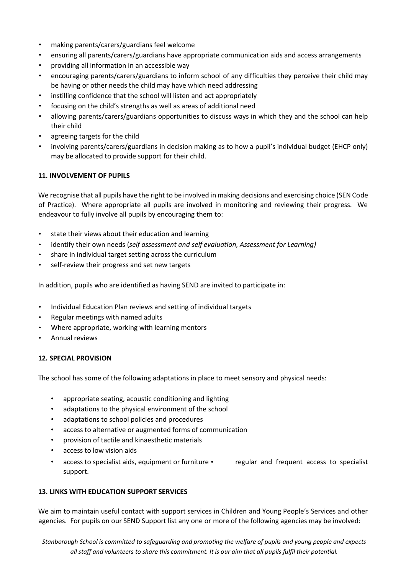- making parents/carers/guardians feel welcome
- ensuring all parents/carers/guardians have appropriate communication aids and access arrangements
- providing all information in an accessible way
- encouraging parents/carers/guardians to inform school of any difficulties they perceive their child may be having or other needs the child may have which need addressing
- instilling confidence that the school will listen and act appropriately
- focusing on the child's strengths as well as areas of additional need
- allowing parents/carers/guardians opportunities to discuss ways in which they and the school can help their child
- agreeing targets for the child
- involving parents/carers/guardians in decision making as to how a pupil's individual budget (EHCP only) may be allocated to provide support for their child.

### **11. INVOLVEMENT OF PUPILS**

We recognise that all pupils have the right to be involved in making decisions and exercising choice (SEN Code of Practice). Where appropriate all pupils are involved in monitoring and reviewing their progress. We endeavour to fully involve all pupils by encouraging them to:

- state their views about their education and learning
- identify their own needs (*self assessment and self evaluation, Assessment for Learning)*
- share in individual target setting across the curriculum
- self-review their progress and set new targets

In addition, pupils who are identified as having SEND are invited to participate in:

- Individual Education Plan reviews and setting of individual targets
- Regular meetings with named adults
- Where appropriate, working with learning mentors
- Annual reviews

### **12. SPECIAL PROVISION**

The school has some of the following adaptations in place to meet sensory and physical needs:

- appropriate seating, acoustic conditioning and lighting
- adaptations to the physical environment of the school
- adaptations to school policies and procedures
- access to alternative or augmented forms of communication
- provision of tactile and kinaesthetic materials
- access to low vision aids
- access to specialist aids, equipment or furniture regular and frequent access to specialist support.

### **13. LINKS WITH EDUCATION SUPPORT SERVICES**

We aim to maintain useful contact with support services in Children and Young People's Services and other agencies. For pupils on our SEND Support list any one or more of the following agencies may be involved: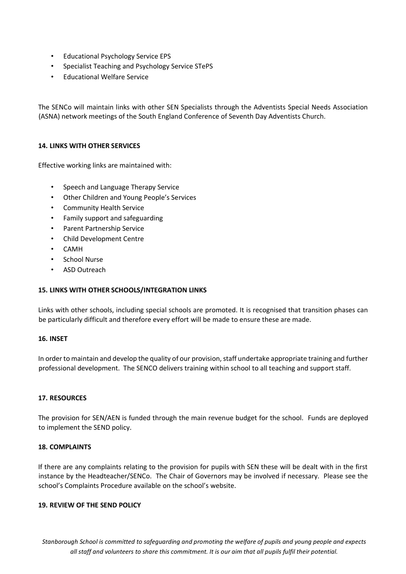- Educational Psychology Service EPS
- Specialist Teaching and Psychology Service STePS
- Educational Welfare Service

The SENCo will maintain links with other SEN Specialists through the Adventists Special Needs Association (ASNA) network meetings of the South England Conference of Seventh Day Adventists Church.

### **14. LINKS WITH OTHER SERVICES**

Effective working links are maintained with:

- Speech and Language Therapy Service
- Other Children and Young People's Services
- Community Health Service
- Family support and safeguarding
- Parent Partnership Service
- Child Development Centre
- CAMH
- School Nurse
- ASD Outreach

### **15. LINKS WITH OTHER SCHOOLS/INTEGRATION LINKS**

Links with other schools, including special schools are promoted. It is recognised that transition phases can be particularly difficult and therefore every effort will be made to ensure these are made.

### **16. INSET**

In order to maintain and develop the quality of our provision, staff undertake appropriate training and further professional development. The SENCO delivers training within school to all teaching and support staff.

### **17. RESOURCES**

The provision for SEN/AEN is funded through the main revenue budget for the school. Funds are deployed to implement the SEND policy.

## **18. COMPLAINTS**

If there are any complaints relating to the provision for pupils with SEN these will be dealt with in the first instance by the Headteacher/SENCo. The Chair of Governors may be involved if necessary. Please see the school's Complaints Procedure available on the school's website.

#### **19. REVIEW OF THE SEND POLICY**